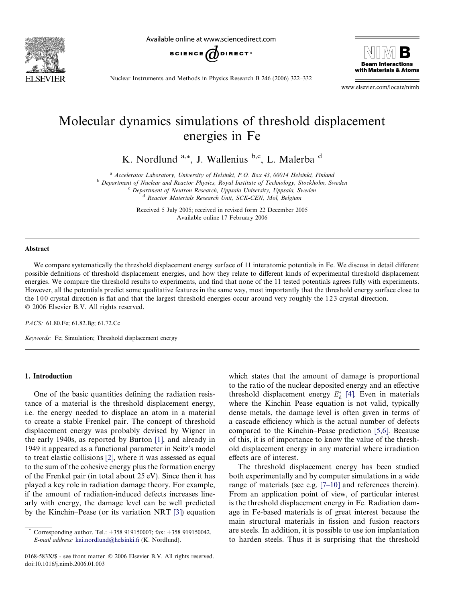

Available online at www.sciencedirect.com





Nuclear Instruments and Methods in Physics Research B 246 (2006) 322–332

www.elsevier.com/locate/nimb

# Molecular dynamics simulations of threshold displacement energies in Fe

K. Nordlund <sup>a,\*</sup>, J. Wallenius <sup>b,c</sup>, L. Malerba<sup>d</sup>

<sup>a</sup> Accelerator Laboratory, University of Helsinki, P.O. Box 43, 00014 Helsinki, Finland

<sup>b</sup> Department of Nuclear and Reactor Physics, Royal Institute of Technology, Stockholm, Sweden

<sup>c</sup> Department of Neutron Research, Uppsala University, Uppsala, Sweden d Reactor Materials Research Unit, SCK-CEN, Mol, Belgium

Received 5 July 2005; received in revised form 22 December 2005 Available online 17 February 2006

#### Abstract

We compare systematically the threshold displacement energy surface of 11 interatomic potentials in Fe. We discuss in detail different possible definitions of threshold displacement energies, and how they relate to different kinds of experimental threshold displacement energies. We compare the threshold results to experiments, and find that none of the 11 tested potentials agrees fully with experiments. However, all the potentials predict some qualitative features in the same way, most importantly that the threshold energy surface close to the 100 crystal direction is flat and that the largest threshold energies occur around very roughly the 123 crystal direction. © 2006 Elsevier B.V. All rights reserved.

PACS: 61.80.Fe; 61.82.Bg; 61.72.Cc

Keywords: Fe; Simulation; Threshold displacement energy

## 1. Introduction

One of the basic quantities defining the radiation resistance of a material is the threshold displacement energy, i.e. the energy needed to displace an atom in a material to create a stable Frenkel pair. The concept of threshold displacement energy was probably devised by Wigner in the early 1940s, as reported by Burton [\[1\],](#page-9-0) and already in 1949 it appeared as a functional parameter in Seitz's model to treat elastic collisions [\[2\]](#page-9-0), where it was assessed as equal to the sum of the cohesive energy plus the formation energy of the Frenkel pair (in total about 25 eV). Since then it has played a key role in radiation damage theory. For example, if the amount of radiation-induced defects increases linearly with energy, the damage level can be well predicted by the Kinchin–Pease (or its variation NRT [\[3\]](#page-9-0)) equation

which states that the amount of damage is proportional to the ratio of the nuclear deposited energy and an effective threshold displacement energy  $E_d^*$  [\[4\]](#page-9-0). Even in materials where the Kinchin–Pease equation is not valid, typically dense metals, the damage level is often given in terms of a cascade efficiency which is the actual number of defects compared to the Kinchin–Pease prediction [\[5,6\].](#page-9-0) Because of this, it is of importance to know the value of the threshold displacement energy in any material where irradiation effects are of interest.

The threshold displacement energy has been studied both experimentally and by computer simulations in a wide range of materials (see e.g. [\[7–10\]](#page-9-0) and references therein). From an application point of view, of particular interest is the threshold displacement energy in Fe. Radiation damage in Fe-based materials is of great interest because the main structural materials in fission and fusion reactors are steels. In addition, it is possible to use ion implantation to harden steels. Thus it is surprising that the threshold

Corresponding author. Tel.: +358 919150007; fax: +358 919150042. E-mail address: [kai.nordlund@helsinki.fi](mailto:kai.nordlund@helsinki.fi) (K. Nordlund).

<sup>0168-583</sup>X/\$ - see front matter © 2006 Elsevier B.V. All rights reserved. doi:10.1016/j.nimb.2006.01.003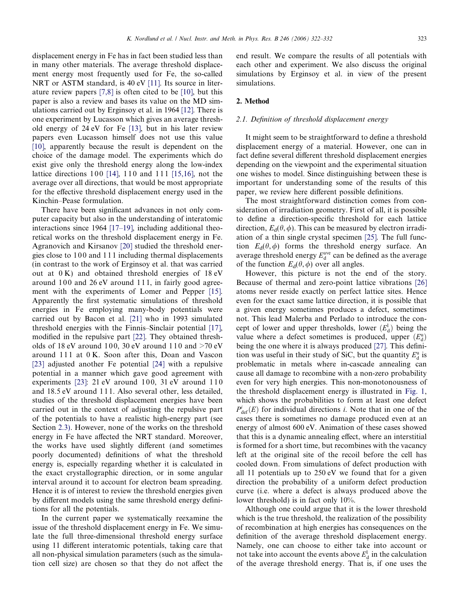displacement energy in Fe has in fact been studied less than in many other materials. The average threshold displacement energy most frequently used for Fe, the so-called NRT or ASTM standard, is 40 eV [\[11\].](#page-9-0) Its source in literature review papers [\[7,8\]](#page-9-0) is often cited to be [\[10\],](#page-9-0) but this paper is also a review and bases its value on the MD simulations carried out by Erginsoy et al. in 1964 [\[12\]](#page-9-0). There is one experiment by Lucasson which gives an average threshold energy of 24 eV for Fe [\[13\]](#page-9-0), but in his later review papers even Lucasson himself does not use this value [\[10\],](#page-9-0) apparently because the result is dependent on the choice of the damage model. The experiments which do exist give only the threshold energy along the low-index lattice directions 100 [\[14\],](#page-9-0) 110 and 111 [\[15,16\],](#page-9-0) not the average over all directions, that would be most appropriate for the effective threshold displacement energy used in the Kinchin–Pease formulation.

There have been significant advances in not only computer capacity but also in the understanding of interatomic interactions since 1964 [\[17–19\],](#page-9-0) including additional theoretical works on the threshold displacement energy in Fe. Agranovich and Kirsanov [\[20\]](#page-9-0) studied the threshold energies close to 100 and 111 including thermal displacements (in contrast to the work of Erginsoy et al. that was carried out at 0 K) and obtained threshold energies of 18 eV around  $100$  and  $26 \text{ eV}$  around  $111$ , in fairly good agreement with the experiments of Lomer and Pepper [\[15\].](#page-9-0) Apparently the first systematic simulations of threshold energies in Fe employing many-body potentials were carried out by Bacon et al. [\[21\]](#page-9-0) who in 1993 simulated threshold energies with the Finnis–Sinclair potential [\[17\],](#page-9-0) modified in the repulsive part [\[22\].](#page-9-0) They obtained thresholds of 18 eV around 100, 30 eV around 110 and  $>70$  eV around 111 at 0 K. Soon after this, Doan and Vascon [\[23\]](#page-9-0) adjusted another Fe potential [\[24\]](#page-9-0) with a repulsive potential in a manner which gave good agreement with experiments  $[23]$ : 21 eV around 100, 31 eV around 110 and 18.5 eV around 1 1 1. Also several other, less detailed, studies of the threshold displacement energies have been carried out in the context of adjusting the repulsive part of the potentials to have a realistic high-energy part (see Section [2.3\).](#page-4-0) However, none of the works on the threshold energy in Fe have affected the NRT standard. Moreover, the works have used slightly different (and sometimes poorly documented) definitions of what the threshold energy is, especially regarding whether it is calculated in the exact crystallographic direction, or in some angular interval around it to account for electron beam spreading. Hence it is of interest to review the threshold energies given by different models using the same threshold energy definitions for all the potentials.

In the current paper we systematically reexamine the issue of the threshold displacement energy in Fe. We simulate the full three-dimensional threshold energy surface using 11 different interatomic potentials, taking care that all non-physical simulation parameters (such as the simulation cell size) are chosen so that they do not affect the end result. We compare the results of all potentials with each other and experiment. We also discuss the original simulations by Erginsoy et al. in view of the present simulations.

## 2. Method

#### 2.1. Definition of threshold displacement energy

It might seem to be straightforward to define a threshold displacement energy of a material. However, one can in fact define several different threshold displacement energies depending on the viewpoint and the experimental situation one wishes to model. Since distinguishing between these is important for understanding some of the results of this paper, we review here different possible definitions.

The most straightforward distinction comes from consideration of irradiation geometry. First of all, it is possible to define a direction-specific threshold for each lattice direction,  $E_d(\theta,\phi)$ . This can be measured by electron irradiation of a thin single crystal specimen [\[25\]](#page-9-0). The full function  $E_d(\theta,\phi)$  forms the threshold energy surface. An average threshold energy  $E_d^{\text{ave}}$  can be defined as the average of the function  $E_d(\theta,\phi)$  over all angles.

However, this picture is not the end of the story. Because of thermal and zero-point lattice vibrations [\[26\]](#page-9-0) atoms never reside exactly on perfect lattice sites. Hence even for the exact same lattice direction, it is possible that a given energy sometimes produces a defect, sometimes not. This lead Malerba and Perlado to introduce the concept of lower and upper thresholds, lower  $(E_d^l)$  being the value where a defect sometimes is produced, upper  $(E_d^u)$ being the one where it is always produced [\[27\]](#page-9-0). This definition was useful in their study of SiC, but the quantity  $E_d^u$  is problematic in metals where in-cascade annealing can cause all damage to recombine with a non-zero probability even for very high energies. This non-monotonousness of the threshold displacement energy is illustrated in [Fig. 1,](#page-2-0) which shows the probabilities to form at least one defect  $P_{\text{def}}^{i}(E)$  for individual directions *i*. Note that in one of the cases there is sometimes no damage produced even at an energy of almost 600 eV. Animation of these cases showed that this is a dynamic annealing effect, where an interstitial is formed for a short time, but recombines with the vacancy left at the original site of the recoil before the cell has cooled down. From simulations of defect production with all 11 potentials up to 250 eV we found that for a given direction the probability of a uniform defect production curve (i.e. where a defect is always produced above the lower threshold) is in fact only 10%.

Although one could argue that it is the lower threshold which is the true threshold, the realization of the possibility of recombination at high energies has consequences on the definition of the average threshold displacement energy. Namely, one can choose to either take into account or not take into account the events above  $E_d^{\perp}$  in the calculation of the average threshold energy. That is, if one uses the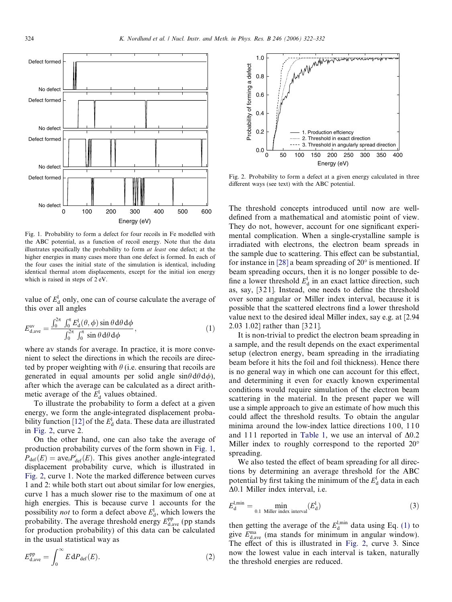<span id="page-2-0"></span>

Fig. 1. Probability to form a defect for four recoils in Fe modelled with the ABC potential, as a function of recoil energy. Note that the data illustrates specifically the probability to form at least one defect; at the higher energies in many cases more than one defect is formed. In each of the four cases the initial state of the simulation is identical, including identical thermal atom displacements, except for the initial ion energy which is raised in steps of 2 eV.

value of  $E_d^{\rm l}$  only, one can of course calculate the average of this over all angles

$$
E_{\rm d,ave}^{\rm av} = \frac{\int_0^{2\pi} \int_0^{\pi} E_{\rm d}^1(\theta,\phi) \sin\theta \,d\theta \,d\phi}{\int_0^{2\pi} \int_0^{\pi} \sin\theta \,d\theta \,d\phi},\tag{1}
$$

where av stands for average. In practice, it is more convenient to select the directions in which the recoils are directed by proper weighting with  $\theta$  (i.e. ensuring that recoils are generated in equal amounts per solid angle  $sin\theta d\theta d\phi$ ), after which the average can be calculated as a direct arithmetic average of the  $E_d^1$  values obtained.

To illustrate the probability to form a defect at a given energy, we form the angle-integrated displacement proba-bility function [\[12\]](#page-9-0) of the  $E_d^{\rm l}$  data. These data are illustrated in Fig. 2, curve 2.

On the other hand, one can also take the average of production probability curves of the form shown in Fig. 1,  $P_{\text{def}}(E) = \text{ave}_i P_{\text{def}}^i(E)$ . This gives another angle-integrated displacement probability curve, which is illustrated in Fig. 2, curve 1. Note the marked difference between curves 1 and 2: while both start out about similar for low energies, curve 1 has a much slower rise to the maximum of one at high energies. This is because curve 1 accounts for the possibility *not* to form a defect above  $E_d^1$ , which lowers the probability. The average threshold energy  $E_{\rm d,ave}^{\rm pp}$  (pp stands for production probability) of this data can be calculated in the usual statistical way as

$$
E_{\rm d,ave}^{\rm pp} = \int_0^\infty E \, dP_{\rm def}(E). \tag{2}
$$



Fig. 2. Probability to form a defect at a given energy calculated in three different ways (see text) with the ABC potential.

The threshold concepts introduced until now are welldefined from a mathematical and atomistic point of view. They do not, however, account for one significant experimental complication. When a single-crystalline sample is irradiated with electrons, the electron beam spreads in the sample due to scattering. This effect can be substantial, for instance in [\[28\]](#page-9-0) a beam spreading of  $20^{\circ}$  is mentioned. If beam spreading occurs, then it is no longer possible to define a lower threshold  $E_d^l$  in an exact lattice direction, such as, say, [3 2 1]. Instead, one needs to define the threshold over some angular or Miller index interval, because it is possible that the scattered electrons find a lower threshold value next to the desired ideal Miller index, say e.g. at [2.94 2.03 1.02] rather than [3 2 1].

It is non-trivial to predict the electron beam spreading in a sample, and the result depends on the exact experimental setup (electron energy, beam spreading in the irradiating beam before it hits the foil and foil thickness). Hence there is no general way in which one can account for this effect, and determining it even for exactly known experimental conditions would require simulation of the electron beam scattering in the material. In the present paper we will use a simple approach to give an estimate of how much this could affect the threshold results. To obtain the angular minima around the low-index lattice directions 100, 110 and 111 reported in [Table 1](#page-3-0), we use an interval of  $\Delta 0.2$ Miller index to roughly correspond to the reported 20° spreading.

We also tested the effect of beam spreading for all directions by determining an average threshold for the ABC potential by first taking the minimum of the  $E_d^1$  data in each  $\Delta$ 0.1 Miller index interval, i.e.

$$
E_{\rm d}^{\rm l,min} = \min_{0.1 \text{ Miller index interval}} (E_{\rm d}^{\rm l})
$$
 (3)

then getting the average of the  $E_d^{\text{l,min}}$  data using Eq. (1) to give  $E_{d,ave}^{ma}$  (ma stands for minimum in angular window). The effect of this is illustrated in Fig. 2, curve 3. Since now the lowest value in each interval is taken, naturally the threshold energies are reduced.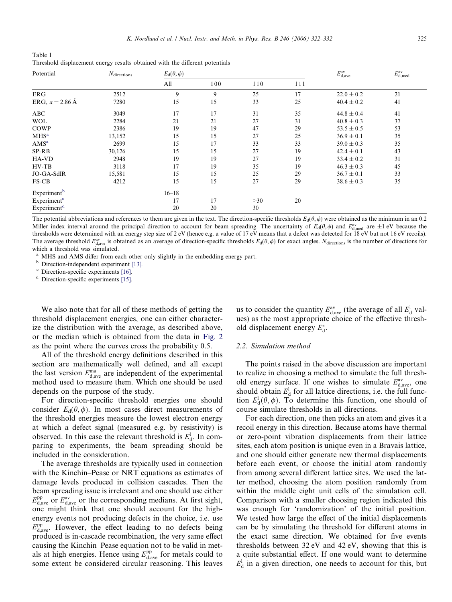<span id="page-3-0"></span>Table 1 Threshold displacement energy results obtained with the different potentials

| Potential               | $N_{\text{directions}}$ | $E_{\rm d}(\theta,\phi)$ |     |     |     | $E_{\rm d,ave}^{\rm av}$ | $E_{\rm d,med}^{\rm av}$ |
|-------------------------|-------------------------|--------------------------|-----|-----|-----|--------------------------|--------------------------|
|                         |                         | All                      | 100 | 110 | 111 |                          |                          |
| ERG                     | 2512                    | 9                        | 9   | 25  | 17  | $22.0 \pm 0.2$           | 21                       |
| ERG, $a = 2.86$ Å       | 7280                    | 15                       | 15  | 33  | 25  | $40.4 \pm 0.2$           | 41                       |
| ABC                     | 3049                    | 17                       | 17  | 31  | 35  | $44.8 \pm 0.4$           | 41                       |
| <b>WOL</b>              | 2284                    | 21                       | 21  | 27  | 31  | $40.8 \pm 0.3$           | 37                       |
| COWP                    | 2386                    | 19                       | 19  | 47  | 29  | $53.5 \pm 0.5$           | 53                       |
| MHS <sup>a</sup>        | 13,152                  | 15                       | 15  | 27  | 25  | $36.9 \pm 0.1$           | 35                       |
| AMS <sup>a</sup>        | 2699                    | 15                       | 17  | 33  | 33  | $39.0 \pm 0.3$           | 35                       |
| SP-RB                   | 30,126                  | 15                       | 15  | 27  | 19  | $42.4 \pm 0.1$           | 43                       |
| HA-VD                   | 2948                    | 19                       | 19  | 27  | 19  | $33.4 \pm 0.2$           | 31                       |
| $HV-TB$                 | 3118                    | 17                       | 19  | 35  | 19  | $46.3 \pm 0.3$           | 45                       |
| JO-GA-SdlR              | 15,581                  | 15                       | 15  | 25  | 29  | $36.7 \pm 0.1$           | 33                       |
| FS-CB                   | 4212                    | 15                       | 15  | 27  | 29  | $38.6 \pm 0.3$           | 35                       |
| Experiment <sup>b</sup> |                         | $16 - 18$                |     |     |     |                          |                          |
| Experiment <sup>c</sup> |                         | 17                       | 17  | >30 | 20  |                          |                          |
| Experiment <sup>d</sup> |                         | 20                       | 20  | 30  |     |                          |                          |

The potential abbreviations and references to them are given in the text. The direction-specific thresholds  $E_d(\theta, \phi)$  were obtained as the minimum in an 0.2 Miller index interval around the principal direction to account for beam spreading. The uncertainty of  $E_d(\theta, \phi)$  and  $E_{d,med}^{av}$  are  $\pm 1$  eV because the thresholds were determined with an energy step size of 2 eV (hence e.g. a value of 17 eV means that a defect was detected for 18 eV but not 16 eV recoils). The average threshold  $E_{d,ave}^{av}$  is obtained as an average of direction-specific thresholds  $E_d(\theta, \phi)$  for exact angles. N<sub>directions</sub> is the number of directions for which a threshold was simulated.

<sup>a</sup> MHS and AMS differ from each other only slightly in the embedding energy part.

<sup>b</sup> Direction-independent experiment [\[13\].](#page-9-0)

 $c$  Direction-specific experiments [\[16\]](#page-9-0).

<sup>d</sup> Direction-specific experiments [\[15\]](#page-9-0).

We also note that for all of these methods of getting the threshold displacement energies, one can either characterize the distribution with the average, as described above, or the median which is obtained from the data in [Fig. 2](#page-2-0) as the point where the curves cross the probability 0.5.

All of the threshold energy definitions described in this section are mathematically well defined, and all except the last version  $E_{d,\text{ave}}^{\text{ma}}$  are independent of the experimental method used to measure them. Which one should be used depends on the purpose of the study.

For direction-specific threshold energies one should consider  $E_d(\theta,\phi)$ . In most cases direct measurements of the threshold energies measure the lowest electron energy at which a defect signal (measured e.g. by resistivity) is observed. In this case the relevant threshold is  $E_d^l$ . In comparing to experiments, the beam spreading should be included in the consideration.

The average thresholds are typically used in connection with the Kinchin–Pease or NRT equations as estimates of damage levels produced in collision cascades. Then the beam spreading issue is irrelevant and one should use either  $E_{\rm d,ave}^{\rm pp}$  or  $E_{\rm d,ave}^{\rm av}$  or the corresponding medians. At first sight, one might think that one should account for the highenergy events not producing defects in the choice, i.e. use  $E_{\rm d,ave}^{\rm pp}$ . However, the effect leading to no defects being produced is in-cascade recombination, the very same effect causing the Kinchin–Pease equation not to be valid in metals at high energies. Hence using  $E_{\rm d,ave}^{\rm pp}$  for metals could to some extent be considered circular reasoning. This leaves

us to consider the quantity  $E_{\text{d,ave}}^{\text{av}}$  (the average of all  $E_{\text{d}}^{\text{l}}$  values) as the most appropriate choice of the effective threshold displacement energy  $E_d^*$ .

#### 2.2. Simulation method

The points raised in the above discussion are important to realize in choosing a method to simulate the full threshold energy surface. If one wishes to simulate  $E_{d,ave}^{av}$ , one should obtain  $E_d^l$  for all lattice directions, i.e. the full function  $E_d^1(\theta, \phi)$ . To determine this function, one should of course simulate thresholds in all directions.

For each direction, one then picks an atom and gives it a recoil energy in this direction. Because atoms have thermal or zero-point vibration displacements from their lattice sites, each atom position is unique even in a Bravais lattice, and one should either generate new thermal displacements before each event, or choose the initial atom randomly from among several different lattice sites. We used the latter method, choosing the atom position randomly from within the middle eight unit cells of the simulation cell. Comparison with a smaller choosing region indicated this was enough for 'randomization' of the initial position. We tested how large the effect of the initial displacements can be by simulating the threshold for different atoms in the exact same direction. We obtained for five events thresholds between 32 eV and 42 eV, showing that this is a quite substantial effect. If one would want to determine  $E_d^l$  in a given direction, one needs to account for this, but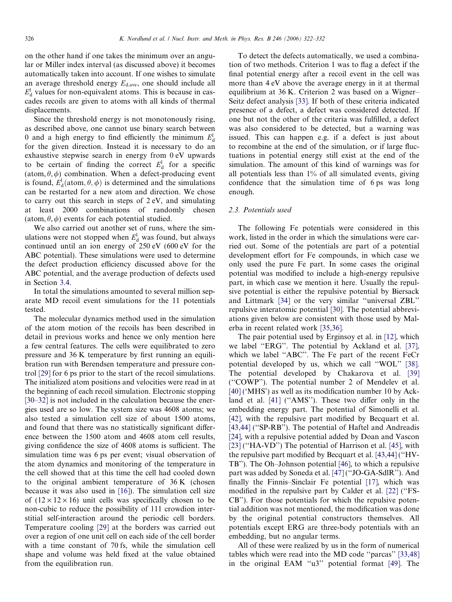<span id="page-4-0"></span>on the other hand if one takes the minimum over an angular or Miller index interval (as discussed above) it becomes automatically taken into account. If one wishes to simulate an average threshold energy  $E_{\text{d.ave}}$ , one should include all  $E_d^l$  values for non-equivalent atoms. This is because in cascades recoils are given to atoms with all kinds of thermal displacements.

Since the threshold energy is not monotonously rising, as described above, one cannot use binary search between 0 and a high energy to find efficiently the minimum  $E_d^1$ for the given direction. Instead it is necessary to do an exhaustive stepwise search in energy from 0 eV upwards to be certain of finding the correct  $E_d^l$  for a specific (atom,  $\theta$ ,  $\phi$ ) combination. When a defect-producing event is found,  $E_d^1(\text{atom}, \theta, \phi)$  is determined and the simulations can be restarted for a new atom and direction. We chose to carry out this search in steps of 2 eV, and simulating at least 2000 combinations of randomly chosen (atom,  $\theta$ ,  $\phi$ ) events for each potential studied.

We also carried out another set of runs, where the simulations were not stopped when  $E_d^l$  was found, but always continued until an ion energy of 250 eV (600 eV for the ABC potential). These simulations were used to determine the defect production efficiency discussed above for the ABC potential, and the average production of defects used in Section [3.4.](#page-6-0)

In total the simulations amounted to several million separate MD recoil event simulations for the 11 potentials tested.

The molecular dynamics method used in the simulation of the atom motion of the recoils has been described in detail in previous works and hence we only mention here a few central features. The cells were equilibrated to zero pressure and 36 K temperature by first running an equilibration run with Berendsen temperature and pressure control [\[29\]](#page-9-0) for 6 ps prior to the start of the recoil simulations. The initialized atom positions and velocities were read in at the beginning of each recoil simulation. Electronic stopping [\[30–32\]](#page-9-0) is not included in the calculation because the energies used are so low. The system size was 4608 atoms; we also tested a simulation cell size of about 1500 atoms, and found that there was no statistically significant difference between the 1500 atom and 4608 atom cell results, giving confidence the size of 4608 atoms is sufficient. The simulation time was 6 ps per event; visual observation of the atom dynamics and monitoring of the temperature in the cell showed that at this time the cell had cooled down to the original ambient temperature of 36 K (chosen because it was also used in [\[16\]](#page-9-0)). The simulation cell size of  $(12 \times 12 \times 16)$  unit cells was specifically chosen to be non-cubic to reduce the possibility of 111 crowdion interstitial self-interaction around the periodic cell borders. Temperature cooling [\[29\]](#page-9-0) at the borders was carried out over a region of one unit cell on each side of the cell border with a time constant of 70 fs, while the simulation cell shape and volume was held fixed at the value obtained from the equilibration run.

To detect the defects automatically, we used a combination of two methods. Criterion 1 was to flag a defect if the final potential energy after a recoil event in the cell was more than 4 eV above the average energy in it at thermal equilibrium at 36 K. Criterion 2 was based on a Wigner– Seitz defect analysis [\[33\]](#page-9-0). If both of these criteria indicated presence of a defect, a defect was considered detected. If one but not the other of the criteria was fulfilled, a defect was also considered to be detected, but a warning was issued. This can happen e.g. if a defect is just about to recombine at the end of the simulation, or if large fluctuations in potential energy still exist at the end of the simulation. The amount of this kind of warnings was for all potentials less than 1% of all simulated events, giving confidence that the simulation time of 6 ps was long enough.

#### 2.3. Potentials used

The following Fe potentials were considered in this work, listed in the order in which the simulations were carried out. Some of the potentials are part of a potential development effort for Fe compounds, in which case we only used the pure Fe part. In some cases the original potential was modified to include a high-energy repulsive part, in which case we mention it here. Usually the repulsive potential is either the repulsive potential by Biersack and Littmark [\[34\]](#page-9-0) or the very similar ''universal ZBL'' repulsive interatomic potential [\[30\]](#page-9-0). The potential abbreviations given below are consistent with those used by Malerba in recent related work [\[35,36\]](#page-9-0).

The pair potential used by Erginsoy et al. in [\[12\],](#page-9-0) which we label ''ERG''. The potential by Ackland et al. [\[37\]](#page-9-0), which we label ''ABC''. The Fe part of the recent FeCr potential developed by us, which we call ''WOL'' [\[38\]](#page-10-0). The potential developed by Chakarova et al. [\[39\]](#page-10-0) (''COWP''). The potential number 2 of Mendelev et al. [\[40\]](#page-10-0) ('MHS') as well as its modification number 10 by Ack-land et al. [\[41\]](#page-10-0) ("AMS"). These two differ only in the embedding energy part. The potential of Simonelli et al. [\[42\]](#page-10-0), with the repulsive part modified by Becquart et al. [\[43,44\]](#page-10-0) ("SP-RB"). The potential of Haftel and Andreadis [\[24\]](#page-9-0), with a repulsive potential added by Doan and Vascon [\[23\]](#page-9-0) ("HA-VD") The potential of Harrison et al. [\[45\]](#page-10-0), with the repulsive part modified by Becquart et al. [\[43,44\]](#page-10-0) (''HV-TB''). The Oh–Johnson potential [\[46\],](#page-10-0) to which a repulsive part was added by Soneda et al. [\[47\]](#page-10-0) (''JO-GA-SdlR''). And finally the Finnis–Sinclair Fe potential [\[17\],](#page-9-0) which was modified in the repulsive part by Calder et al. [\[22\]](#page-9-0) (''FS-CB''). For those potentials for which the repulsive potential addition was not mentioned, the modification was done by the original potential constructors themselves. All potentials except ERG are three-body potentials with an embedding, but no angular terms.

All of these were realized by us in the form of numerical tables which were read into the MD code ''parcas'' [\[33,48\]](#page-9-0) in the original EAM ''u3'' potential format [\[49\]](#page-10-0). The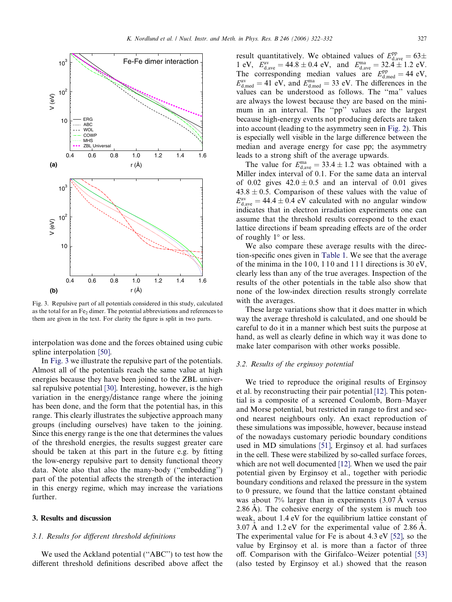<span id="page-5-0"></span>

Fig. 3. Repulsive part of all potentials considered in this study, calculated as the total for an Fe<sub>2</sub> dimer. The potential abbreviations and references to them are given in the text. For clarity the figure is split in two parts.

interpolation was done and the forces obtained using cubic spline interpolation [\[50\].](#page-10-0)

In Fig. 3 we illustrate the repulsive part of the potentials. Almost all of the potentials reach the same value at high energies because they have been joined to the ZBL universal repulsive potential [\[30\].](#page-9-0) Interesting, however, is the high variation in the energy/distance range where the joining has been done, and the form that the potential has, in this range. This clearly illustrates the subjective approach many groups (including ourselves) have taken to the joining. Since this energy range is the one that determines the values of the threshold energies, the results suggest greater care should be taken at this part in the future e.g. by fitting the low-energy repulsive part to density functional theory data. Note also that also the many-body (''embedding'') part of the potential affects the strength of the interaction in this energy regime, which may increase the variations further.

## 3. Results and discussion

## 3.1. Results for different threshold definitions

We used the Ackland potential ("ABC") to test how the different threshold definitions described above affect the

result quantitatively. We obtained values of  $E_{\text{d,ave}}^{\text{pp}} = 63 \pm$ 1 eV,  $E_{\text{d,ave}}^{\text{av}} = 44.8 \pm 0.4 \text{ eV}$ , and  $E_{\text{d,ave}}^{\text{ma}} = 32.4 \pm 1.2 \text{ eV}$ . The corresponding median values are  $E_{d,med}^{pp} = 44 \text{ eV}$ ,  $E_{\text{d,med}}^{\text{av}} = 41 \text{ eV}$ , and  $E_{\text{d,med}}^{\text{ma}} = 33 \text{ eV}$ . The differences in the values can be understood as follows. The ''ma'' values are always the lowest because they are based on the minimum in an interval. The ''pp'' values are the largest because high-energy events not producing defects are taken into account (leading to the asymmetry seen in [Fig. 2](#page-2-0)). This is especially well visible in the large difference between the median and average energy for case pp; the asymmetry leads to a strong shift of the average upwards.

The value for  $E_{\text{d,ave}}^{\text{ma}} = 33.4 \pm 1.2$  was obtained with a Miller index interval of 0.1. For the same data an interval of 0.02 gives  $42.0 \pm 0.5$  and an interval of 0.01 gives  $43.8 \pm 0.5$ . Comparison of these values with the value of  $E_{\rm d,ave}^{\rm av} = 44.4 \pm 0.4$  eV calculated with no angular window indicates that in electron irradiation experiments one can assume that the threshold results correspond to the exact lattice directions if beam spreading effects are of the order of roughly  $1^\circ$  or less.

We also compare these average results with the direction-specific ones given in [Table 1.](#page-3-0) We see that the average of the minima in the 100, 110 and 111 directions is 30 eV, clearly less than any of the true averages. Inspection of the results of the other potentials in the table also show that none of the low-index direction results strongly correlate with the averages.

These large variations show that it does matter in which way the average threshold is calculated, and one should be careful to do it in a manner which best suits the purpose at hand, as well as clearly define in which way it was done to make later comparison with other works possible.

## 3.2. Results of the erginsoy potential

We tried to reproduce the original results of Erginsoy et al. by reconstructing their pair potential [\[12\].](#page-9-0) This potential is a composite of a screened Coulomb, Born–Mayer and Morse potential, but restricted in range to first and second nearest neighbours only. An exact reproduction of these simulations was impossible, however, because instead of the nowadays customary periodic boundary conditions used in MD simulations [\[51\],](#page-10-0) Erginsoy et al. had surfaces in the cell. These were stabilized by so-called surface forces, which are not well documented [\[12\]](#page-9-0). When we used the pair potential given by Erginsoy et al., together with periodic boundary conditions and relaxed the pressure in the system to 0 pressure, we found that the lattice constant obtained was about  $7\%$  larger than in experiments  $(3.07 \text{ Å}$  versus  $2.86$  A). The cohesive energy of the system is much too weak, about 1.4 eV for the equilibrium lattice constant of  $3.07 \text{ A}$  and  $1.2 \text{ eV}$  for the experimental value of  $2.86 \text{ A}$ . The experimental value for Fe is about 4.3 eV [\[52\]](#page-10-0), so the value by Erginsoy et al. is more than a factor of three off. Comparison with the Girifalco–Weizer potential [\[53\]](#page-10-0) (also tested by Erginsoy et al.) showed that the reason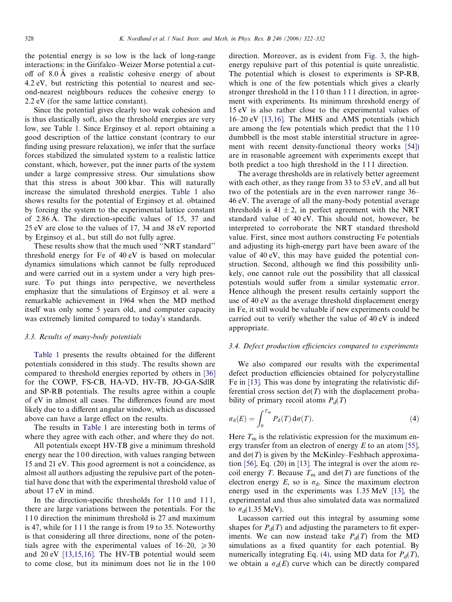<span id="page-6-0"></span>the potential energy is so low is the lack of long-range interactions: in the Girifalco–Weizer Morse potential a cutoff of 8.0 A gives a realistic cohesive energy of about 4.2 eV, but restricting this potential to nearest and second-nearest neighbours reduces the cohesive energy to 2.2 eV (for the same lattice constant).

Since the potential gives clearly too weak cohesion and is thus elastically soft, also the threshold energies are very low, see Table [1.](#page-3-0) Since Erginsoy et al. report obtaining a good description of the lattice constant (contrary to our finding using pressure relaxation), we infer that the surface forces stabilized the simulated system to a realistic lattice constant, which, however, put the inner parts of the system under a large compressive stress. Our simulations show that this stress is about 300 kbar. This will naturally increase the simulated threshold energies. [Table 1](#page-3-0) also shows results for the potential of Erginsoy et al. obtained by forcing the system to the experimental lattice constant of 2.86 A. The direction-specific values of 15, 37 and 25 eV are close to the values of 17, 34 and 38 eV reported by Erginsoy et al., but still do not fully agree.

These results show that the much used ''NRT standard'' threshold energy for Fe of 40 eV is based on molecular dynamics simulations which cannot be fully reproduced and were carried out in a system under a very high pressure. To put things into perspective, we nevertheless emphasize that the simulations of Erginsoy et al. were a remarkable achievement in 1964 when the MD method itself was only some 5 years old, and computer capacity was extremely limited compared to today's standards.

## 3.3. Results of many-body potentials

[Table 1](#page-3-0) presents the results obtained for the different potentials considered in this study. The results shown are compared to threshold energies reported by others in [\[36\]](#page-9-0) for the COWP, FS-CB, HA-VD, HV-TB, JO-GA-SdlR and SP-RB potentials. The results agree within a couple of eV in almost all cases. The differences found are most likely due to a different angular window, which as discussed above can have a large effect on the results.

The results in [Table 1](#page-3-0) are interesting both in terms of where they agree with each other, and where they do not.

All potentials except HV-TB give a minimum threshold energy near the 100 direction, with values ranging between 15 and 21 eV. This good agreement is not a coincidence, as almost all authors adjusting the repulsive part of the potential have done that with the experimental threshold value of about 17 eV in mind.

In the direction-specific thresholds for 110 and 111, there are large variations between the potentials. For the 1 1 0 direction the minimum threshold is 27 and maximum is 47, while for 1 1 1 the range is from 19 to 35. Noteworthy is that considering all three directions, none of the potentials agree with the experimental values of  $16-20$ ,  $\geq 30$ and 20 eV [\[13,15,16\]](#page-9-0). The HV-TB potential would seem to come close, but its minimum does not lie in the  $100$  direction. Moreover, as is evident from [Fig. 3](#page-5-0), the highenergy repulsive part of this potential is quite unrealistic. The potential which is closest to experiments is SP-RB, which is one of the few potentials which gives a clearly stronger threshold in the 110 than 111 direction, in agreement with experiments. Its minimum threshold energy of 15 eV is also rather close to the experimental values of 16–20 eV [\[13,16\]](#page-9-0). The MHS and AMS potentials (which are among the few potentials which predict that the 110 dumbbell is the most stable interstitial structure in agreement with recent density-functional theory works [\[54\]](#page-10-0)) are in reasonable agreement with experiments except that both predict a too high threshold in the 1 1 1 direction.

The average thresholds are in relatively better agreement with each other, as they range from 33 to 53 eV, and all but two of the potentials are in the even narrower range 36– 46 eV. The average of all the many-body potential average thresholds is  $41 \pm 2$ , in perfect agreement with the NRT standard value of 40 eV. This should not, however, be interpreted to corroborate the NRT standard threshold value. First, since most authors constructing Fe potentials and adjusting its high-energy part have been aware of the value of 40 eV, this may have guided the potential construction. Second, although we find this possibility unlikely, one cannot rule out the possibility that all classical potentials would suffer from a similar systematic error. Hence although the present results certainly support the use of 40 eV as the average threshold displacement energy in Fe, it still would be valuable if new experiments could be carried out to verify whether the value of 40 eV is indeed appropriate.

## 3.4. Defect production efficiencies compared to experiments

We also compared our results with the experimental defect production efficiencies obtained for polycrystalline Fe in [\[13\]](#page-9-0). This was done by integrating the relativistic differential cross section  $d\sigma(T)$  with the displacement probability of primary recoil atoms  $P_d(T)$ 

$$
\sigma_{\rm d}(E) = \int_0^{T_{\rm m}} P_{\rm d}(T) \,\mathrm{d}\sigma(T). \tag{4}
$$

Here  $T<sub>m</sub>$  is the relativistic expression for the maximum energy transfer from an electron of energy  $E$  to an atom [\[55\]](#page-10-0), and  $d\sigma(T)$  is given by the McKinley–Feshbach approximation [\[56\]](#page-10-0), Eq. (20) in [\[13\]](#page-9-0). The integral is over the atom recoil energy T. Because  $T_m$  and  $d\sigma(T)$  are functions of the electron energy  $E$ , so is  $\sigma_d$ . Since the maximum electron energy used in the experiments was 1.35 MeV [\[13\],](#page-9-0) the experimental and thus also simulated data was normalized to  $\sigma_d(1.35 \text{ MeV})$ .

Lucasson carried out this integral by assuming some shapes for  $P_d(T)$  and adjusting the parameters to fit experiments. We can now instead take  $P_d(T)$  from the MD simulations as a fixed quantity for each potential. By numerically integrating Eq. (4), using MD data for  $P_d(T)$ , we obtain a  $\sigma_d(E)$  curve which can be directly compared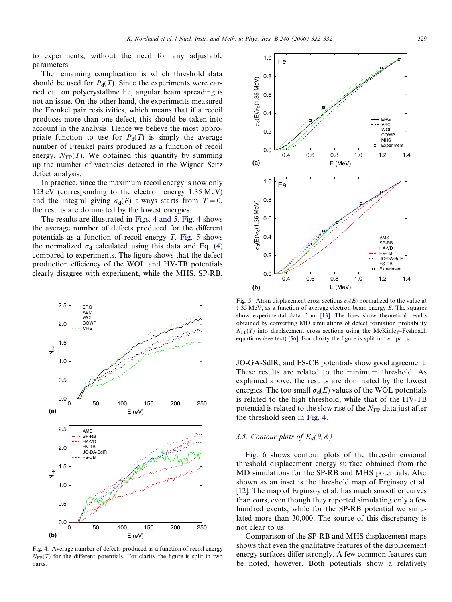to experiments, without the need for any adjustable parameters.

The remaining complication is which threshold data should be used for  $P_d(T)$ . Since the experiments were carried out on polycrystalline Fe, angular beam spreading is not an issue. On the other hand, the experiments measured the Frenkel pair resistivities, which means that if a recoil produces more than one defect, this should be taken into account in the analysis. Hence we believe the most appropriate function to use for  $P_d(T)$  is simply the average number of Frenkel pairs produced as a function of recoil energy,  $N_{FP}(T)$ . We obtained this quantity by summing up the number of vacancies detected in the Wigner–Seitz defect analysis.

In practice, since the maximum recoil energy is now only 123 eV (corresponding to the electron energy 1.35 MeV) and the integral giving  $\sigma_d(E)$  always starts from  $T = 0$ , the results are dominated by the lowest energies.

The results are illustrated in Figs. 4 and 5. Fig. 4 shows the average number of defects produced for the different potentials as a function of recoil energy  $T$ . Fig. 5 shows the normalized  $\sigma_d$  calculated using this data and Eq. [\(4\)](#page-6-0) compared to experiments. The figure shows that the defect production efficiency of the WOL and HV-TB potentials clearly disagree with experiment, while the MHS, SP-RB,



Fig. 4. Average number of defects produced as a function of recoil energy  $N_{\text{FP}}(T)$  for the different potentials. For clarity the figure is split in two parts.



Fig. 5. Atom displacement cross sections  $\sigma_d(E)$  normalized to the value at 1.35 MeV, as a function of average electron beam energy  $E$ . The squares show experimental data from [\[13\]](#page-9-0). The lines show theoretical results obtained by converting MD simulations of defect formation probability  $N_{\text{FP}}(T)$  into displacement cross sections using the McKinley–Feshbach equations (see text) [\[56\].](#page-10-0) For clarity the figure is split in two parts.

JO-GA-SdlR, and FS-CB potentials show good agreement. These results are related to the minimum threshold. As explained above, the results are dominated by the lowest energies. The too small  $\sigma_d(E)$  values of the WOL potentials is related to the high threshold, while that of the HV-TB potential is related to the slow rise of the  $N_{FP}$  data just after the threshold seen in Fig. 4.

## 3.5. Contour plots of  $E_d(\theta,\phi)$

[Fig. 6](#page-8-0) shows contour plots of the three-dimensional threshold displacement energy surface obtained from the MD simulations for the SP-RB and MHS potentials. Also shown as an inset is the threshold map of Erginsoy et al. [\[12\].](#page-9-0) The map of Erginsoy et al. has much smoother curves than ours, even though they reported simulating only a few hundred events, while for the SP-RB potential we simulated more than 30,000. The source of this discrepancy is not clear to us.

Comparison of the SP-RB and MHS displacement maps shows that even the qualitative features of the displacement energy surfaces differ strongly. A few common features can be noted, however. Both potentials show a relatively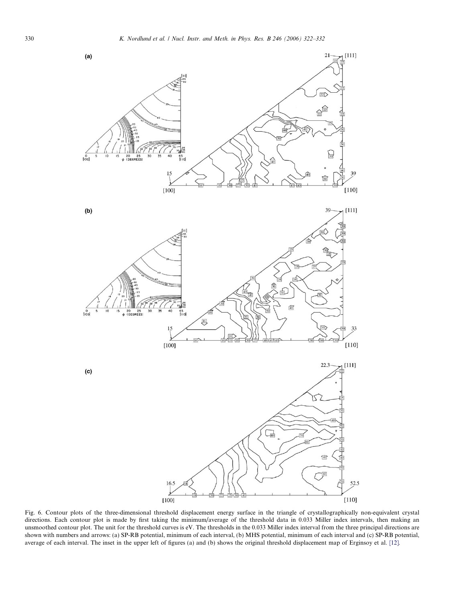<span id="page-8-0"></span>

Fig. 6. Contour plots of the three-dimensional threshold displacement energy surface in the triangle of crystallographically non-equivalent crystal directions. Each contour plot is made by first taking the minimum/average of the threshold data in 0.033 Miller index intervals, then making an unsmoothed contour plot. The unit for the threshold curves is eV. The thresholds in the 0.033 Miller index interval from the three principal directions are shown with numbers and arrows: (a) SP-RB potential, minimum of each interval, (b) MHS potential, minimum of each interval and (c) SP-RB potential, average of each interval. The inset in the upper left of figures (a) and (b) shows the original threshold displacement map of Erginsoy et al. [\[12\]](#page-9-0).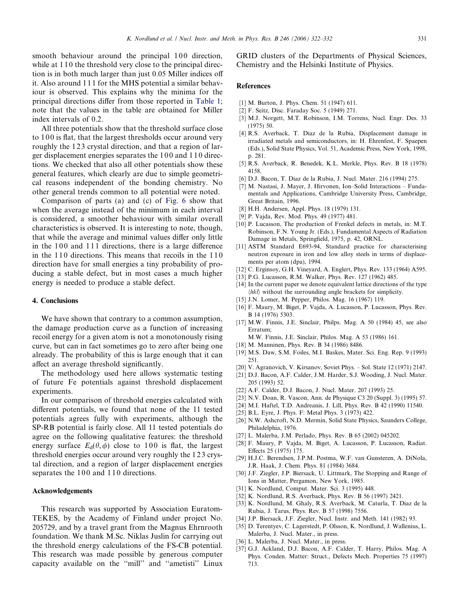<span id="page-9-0"></span>smooth behaviour around the principal 100 direction, while at 110 the threshold very close to the principal direction is in both much larger than just 0.05 Miller indices off it. Also around 1 1 1 for the MHS potential a similar behaviour is observed. This explains why the minima for the principal directions differ from those reported in [Table 1;](#page-3-0) note that the values in the table are obtained for Miller index intervals of 0.2.

All three potentials show that the threshold surface close to 100 is flat, that the largest thresholds occur around very roughly the 123 crystal direction, and that a region of larger displacement energies separates the 100 and 110 directions. We checked that also all other potentials show these general features, which clearly are due to simple geometrical reasons independent of the bonding chemistry. No other general trends common to all potential were noted.

Comparison of parts (a) and (c) of [Fig. 6](#page-8-0) show that when the average instead of the minimum in each interval is considered, a smoother behaviour with similar overall characteristics is observed. It is interesting to note, though, that while the average and minimal values differ only little in the  $100$  and  $111$  directions, there is a large difference in the 110 directions. This means that recoils in the 110 direction have for small energies a tiny probability of producing a stable defect, but in most cases a much higher energy is needed to produce a stable defect.

#### 4. Conclusions

We have shown that contrary to a common assumption, the damage production curve as a function of increasing recoil energy for a given atom is not a monotonously rising curve, but can in fact sometimes go to zero after being one already. The probability of this is large enough that it can affect an average threshold significantly.

The methodology used here allows systematic testing of future Fe potentials against threshold displacement experiments.

In our comparison of threshold energies calculated with different potentials, we found that none of the 11 tested potentials agrees fully with experiments, although the SP-RB potential is fairly close. All 11 tested potentials do agree on the following qualitative features: the threshold energy surface  $E_d(\theta, \phi)$  close to 100 is flat, the largest threshold energies occur around very roughly the 123 crystal direction, and a region of larger displacement energies separates the 100 and 110 directions.

#### Acknowledgements

This research was supported by Association Euratom-TEKES, by the Academy of Finland under project No. 205729, and by a travel grant from the Magnus Ehrnrooth foundation. We thank M.Sc. Niklas Juslin for carrying out the threshold energy calculations of the FS-CB potential. This research was made possible by generous computer capacity available on the ''mill'' and ''ametisti'' Linux GRID clusters of the Departments of Physical Sciences, Chemistry and the Helsinki Institute of Physics.

#### References

- [1] M. Burton, J. Phys. Chem. 51 (1947) 611.
- [2] F. Seitz, Disc. Faraday Soc. 5 (1949) 271.
- [3] M.J. Norgett, M.T. Robinson, I.M. Torrens, Nucl. Engr. Des. 33 (1975) 50.
- [4] R.S. Averback, T. Diaz de la Rubia, Displacement damage in irradiated metals and semiconductors, in: H. Ehrenfest, F. Spaepen (Eds.), Solid State Physics, Vol. 51, Academic Press, New York, 1998, p. 281.
- [5] R.S. Averback, R. Benedek, K.L. Merkle, Phys. Rev. B 18 (1978) 4158.
- [6] D.J. Bacon, T. Diaz de la Rubia, J. Nucl. Mater. 216 (1994) 275.
- [7] M. Nastasi, J. Mayer, J. Hirvonen, Ion–Solid Interactions Fundamentals and Applications, Cambridge University Press, Cambridge, Great Britain, 1996.
- [8] H.H. Andersen, Appl. Phys. 18 (1979) 131.
- [9] P. Vajda, Rev. Mod. Phys. 49 (1977) 481.
- [10] P. Lucasson, The production of Frenkel defects in metals, in: M.T. Robinson, F.N. Young Jr. (Eds.), Fundamental Aspects of Radiation Damage in Metals, Springfield, 1975, p. 42, ORNL.
- [11] ASTM Standard E693-94, Standard practice for characterising neutron exposure in iron and low alloy steels in terms of displacements per atom (dpa), 1994.
- [12] C. Erginsoy, G.H. Vineyard, A. Englert, Phys. Rev. 133 (1964) A595.
- [13] P.G. Lucasson, R.M. Walker, Phys. Rev. 127 (1962) 485.
- [14] In the current paper we denote equivalent lattice directions of the type  $\langle hkl \rangle$  without the surrounding angle brackets for simplicity.
- [15] J.N. Lomer, M. Pepper, Philos. Mag. 16 (1967) 119.
- [16] F. Maury, M. Biget, P. Vajda, A. Lucasson, P. Lucasson, Phys. Rev. B 14 (1976) 5303.
- [17] M.W. Finnis, J.E. Sinclair, Philps. Mag. A 50 (1984) 45, see also Erratum;
	- M.W. Finnis, J.E. Sinclair, Philos. Mag. A 53 (1986) 161.
- [18] M. Manninen, Phys. Rev. B 34 (1986) 8486.
- [19] M.S. Daw, S.M. Foiles, M.I. Baskes, Mater. Sci. Eng. Rep. 9 (1993) 251.
- [20] V. Agranovich, V. Kirsanov, Soviet Phys. Sol. State 12 (1971) 2147.
- [21] D.J. Bacon, A.F. Calder, J.M. Harder, S.J. Wooding, J. Nucl. Mater. 205 (1993) 52.
- [22] A.F. Calder, D.J. Bacon, J. Nucl. Mater. 207 (1993) 25.
- [23] N.V. Doan, R. Vascon, Ann. de Physique C3 20 (Suppl. 3) (1995) 57.
- [24] M.I. Haftel, T.D. Andreanis, J. Lill, Phys. Rev. B 42 (1990) 11540.
- [25] B.L. Eyre, J. Phys. F: Metal Phys. 3 (1973) 422.
- [26] N.W. Ashcroft, N.D. Mermin, Solid State Physics, Saunders College, Philadelphia, 1976.
- [27] L. Malerba, J.M. Perlado, Phys. Rev. B 65 (2002) 045202.
- [28] F. Maury, P. Vajda, M. Biget, A. Lucasson, P. Lucasson, Radiat. Effects 25 (1975) 175.
- [29] H.J.C. Berendsen, J.P.M. Postma, W.F. van Gunsteren, A. DiNola, J.R. Haak, J. Chem. Phys. 81 (1984) 3684.
- [30] J.F. Ziegler, J.P. Biersack, U. Littmark, The Stopping and Range of Ions in Matter, Pergamon, New York, 1985.
- [31] K. Nordlund, Comput. Mater. Sci. 3 (1995) 448.
- [32] K. Nordlund, R.S. Averback, Phys. Rev. B 56 (1997) 2421.
- [33] K. Nordlund, M. Ghaly, R.S. Averback, M. Caturla, T. Diaz de la Rubia, J. Tarus, Phys. Rev. B 57 (1998) 7556.
- [34] J.P. Biersack, J.F. Ziegler, Nucl. Instr. and Meth. 141 (1982) 93.
- [35] D. Terentyev, C. Lagerstedt, P. Olsson, K. Nordlund, J. Wallenius, L. Malerba, J. Nucl. Mater., in press.
- [36] L. Malerba, J. Nucl. Mater., in press.
- [37] G.J. Ackland, D.J. Bacon, A.F. Calder, T. Harry, Philos. Mag. A Phys. Conden. Matter: Struct., Defects Mech. Properties 75 (1997) 713.